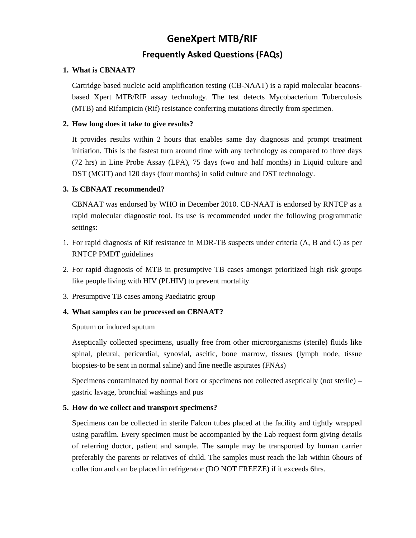# **GeneXpert MTB/RIF**

# **Frequently Asked Questions (FAQs)**

#### **1. What is CBNAAT?**

Cartridge based nucleic acid amplification testing (CB-NAAT) is a rapid molecular beaconsbased Xpert MTB/RIF assay technology. The test detects Mycobacterium Tuberculosis (MTB) and Rifampicin (Rif) resistance conferring mutations directly from specimen.

#### **2. How long does it take to give results?**

It provides results within 2 hours that enables same day diagnosis and prompt treatment initiation. This is the fastest turn around time with any technology as compared to three days (72 hrs) in Line Probe Assay (LPA), 75 days (two and half months) in Liquid culture and DST (MGIT) and 120 days (four months) in solid culture and DST technology.

#### **3. Is CBNAAT recommended?**

CBNAAT was endorsed by WHO in December 2010. CB-NAAT is endorsed by RNTCP as a rapid molecular diagnostic tool. Its use is recommended under the following programmatic settings:

- 1. For rapid diagnosis of Rif resistance in MDR-TB suspects under criteria (A, B and C) as per RNTCP PMDT guidelines
- 2. For rapid diagnosis of MTB in presumptive TB cases amongst prioritized high risk groups like people living with HIV (PLHIV) to prevent mortality
- 3. Presumptive TB cases among Paediatric group

#### **4. What samples can be processed on CBNAAT?**

#### Sputum or induced sputum

Aseptically collected specimens, usually free from other microorganisms (sterile) fluids like spinal, pleural, pericardial, synovial, ascitic, bone marrow, tissues (lymph node, tissue biopsies-to be sent in normal saline) and fine needle aspirates (FNAs)

Specimens contaminated by normal flora or specimens not collected aseptically (not sterile) – gastric lavage, bronchial washings and pus

# **5. How do we collect and transport specimens?**

Specimens can be collected in sterile Falcon tubes placed at the facility and tightly wrapped using parafilm. Every specimen must be accompanied by the Lab request form giving details of referring doctor, patient and sample. The sample may be transported by human carrier preferably the parents or relatives of child. The samples must reach the lab within 6hours of collection and can be placed in refrigerator (DO NOT FREEZE) if it exceeds 6hrs.